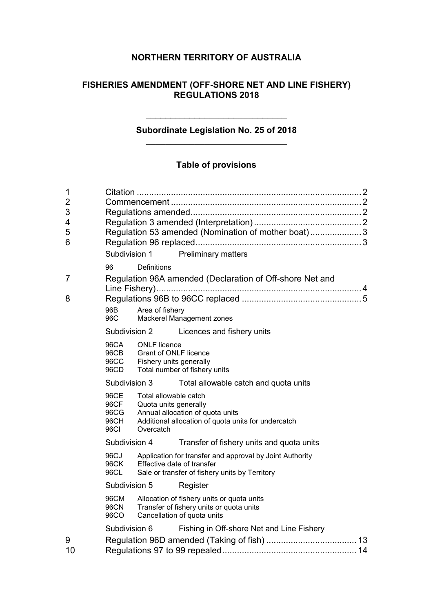# **NORTHERN TERRITORY OF AUSTRALIA**

# **FISHERIES AMENDMENT (OFF-SHORE NET AND LINE FISHERY) REGULATIONS 2018**

# **Subordinate Legislation No. 25 of 2018** \_\_\_\_\_\_\_\_\_\_\_\_\_\_\_\_\_\_\_\_\_\_\_\_\_\_\_\_\_

\_\_\_\_\_\_\_\_\_\_\_\_\_\_\_\_\_\_\_\_\_\_\_\_\_\_\_\_\_

# **Table of provisions**

| 96<br>96B<br>96C                     | Definitions |                                                                                                    |                                                                                                                                                                                                                                                                                                                                                                                                                                                                                                                                                                                                                                                                                                                                   |
|--------------------------------------|-------------|----------------------------------------------------------------------------------------------------|-----------------------------------------------------------------------------------------------------------------------------------------------------------------------------------------------------------------------------------------------------------------------------------------------------------------------------------------------------------------------------------------------------------------------------------------------------------------------------------------------------------------------------------------------------------------------------------------------------------------------------------------------------------------------------------------------------------------------------------|
|                                      |             | Licences and fishery units                                                                         |                                                                                                                                                                                                                                                                                                                                                                                                                                                                                                                                                                                                                                                                                                                                   |
| 96CA<br>96CB<br>96CC<br>96CD         |             |                                                                                                    |                                                                                                                                                                                                                                                                                                                                                                                                                                                                                                                                                                                                                                                                                                                                   |
|                                      |             | Total allowable catch and quota units                                                              |                                                                                                                                                                                                                                                                                                                                                                                                                                                                                                                                                                                                                                                                                                                                   |
| 96CE<br>96CF<br>96CG<br>96CH<br>96CI | Overcatch   |                                                                                                    |                                                                                                                                                                                                                                                                                                                                                                                                                                                                                                                                                                                                                                                                                                                                   |
|                                      |             | Transfer of fishery units and quota units                                                          |                                                                                                                                                                                                                                                                                                                                                                                                                                                                                                                                                                                                                                                                                                                                   |
| 96CJ<br>96CK<br>96CL                 |             |                                                                                                    |                                                                                                                                                                                                                                                                                                                                                                                                                                                                                                                                                                                                                                                                                                                                   |
|                                      |             | Register                                                                                           |                                                                                                                                                                                                                                                                                                                                                                                                                                                                                                                                                                                                                                                                                                                                   |
| 96CM<br><b>96CN</b><br>96CO          |             |                                                                                                    |                                                                                                                                                                                                                                                                                                                                                                                                                                                                                                                                                                                                                                                                                                                                   |
|                                      |             | Fishing in Off-shore Net and Line Fishery                                                          |                                                                                                                                                                                                                                                                                                                                                                                                                                                                                                                                                                                                                                                                                                                                   |
|                                      |             | Subdivision 1<br>Subdivision 2<br>Subdivision 3<br>Subdivision 4<br>Subdivision 5<br>Subdivision 6 | Regulation 53 amended (Nomination of mother boat)3<br><b>Preliminary matters</b><br>Regulation 96A amended (Declaration of Off-shore Net and<br>Area of fishery<br>Mackerel Management zones<br><b>ONLF</b> licence<br><b>Grant of ONLF licence</b><br>Fishery units generally<br>Total number of fishery units<br>Total allowable catch<br>Quota units generally<br>Annual allocation of quota units<br>Additional allocation of quota units for undercatch<br>Application for transfer and approval by Joint Authority<br>Effective date of transfer<br>Sale or transfer of fishery units by Territory<br>Allocation of fishery units or quota units<br>Transfer of fishery units or quota units<br>Cancellation of quota units |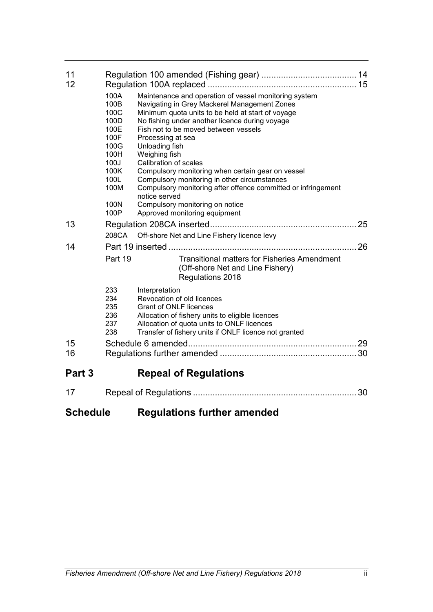| 11<br>12 | 100A<br>100B<br>100C<br>100D<br>100E<br>100F<br>100G<br>100H<br>100J<br>100K<br>100L<br>100M<br>100N<br>100P | Maintenance and operation of vessel monitoring system<br>Navigating in Grey Mackerel Management Zones<br>Minimum quota units to be held at start of voyage<br>No fishing under another licence during voyage<br>Fish not to be moved between vessels<br>Processing at sea<br>Unloading fish<br>Weighing fish<br>Calibration of scales<br>Compulsory monitoring when certain gear on vessel<br>Compulsory monitoring in other circumstances<br>Compulsory monitoring after offence committed or infringement<br>notice served<br>Compulsory monitoring on notice<br>Approved monitoring equipment |    |
|----------|--------------------------------------------------------------------------------------------------------------|--------------------------------------------------------------------------------------------------------------------------------------------------------------------------------------------------------------------------------------------------------------------------------------------------------------------------------------------------------------------------------------------------------------------------------------------------------------------------------------------------------------------------------------------------------------------------------------------------|----|
| 13       |                                                                                                              |                                                                                                                                                                                                                                                                                                                                                                                                                                                                                                                                                                                                  | 25 |
|          | 208CA                                                                                                        | Off-shore Net and Line Fishery licence levy                                                                                                                                                                                                                                                                                                                                                                                                                                                                                                                                                      |    |
| 14       |                                                                                                              |                                                                                                                                                                                                                                                                                                                                                                                                                                                                                                                                                                                                  | 26 |
|          | Part 19                                                                                                      | <b>Transitional matters for Fisheries Amendment</b><br>(Off-shore Net and Line Fishery)<br>Regulations 2018                                                                                                                                                                                                                                                                                                                                                                                                                                                                                      |    |
|          | 233<br>234<br>235<br>236<br>237<br>238                                                                       | Interpretation<br>Revocation of old licences<br><b>Grant of ONLF licences</b><br>Allocation of fishery units to eligible licences<br>Allocation of quota units to ONLF licences<br>Transfer of fishery units if ONLF licence not granted                                                                                                                                                                                                                                                                                                                                                         |    |
| 15<br>16 |                                                                                                              |                                                                                                                                                                                                                                                                                                                                                                                                                                                                                                                                                                                                  |    |
| Part 3   |                                                                                                              | <b>Repeal of Regulations</b>                                                                                                                                                                                                                                                                                                                                                                                                                                                                                                                                                                     |    |
| 17       |                                                                                                              |                                                                                                                                                                                                                                                                                                                                                                                                                                                                                                                                                                                                  | 30 |

# **Schedule Regulations further amended**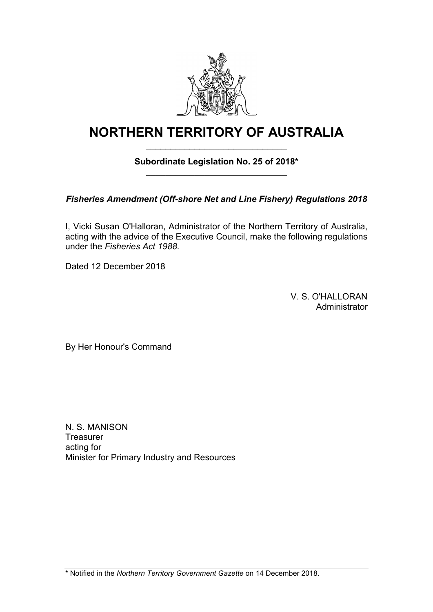

# **NORTHERN TERRITORY OF AUSTRALIA** \_\_\_\_\_\_\_\_\_\_\_\_\_\_\_\_\_\_\_\_\_\_\_\_\_\_\_\_\_

# **Subordinate Legislation No. 25 of 2018\*** \_\_\_\_\_\_\_\_\_\_\_\_\_\_\_\_\_\_\_\_\_\_\_\_\_\_\_\_\_

*Fisheries Amendment (Off-shore Net and Line Fishery) Regulations 2018*

I, Vicki Susan O'Halloran, Administrator of the Northern Territory of Australia, acting with the advice of the Executive Council, make the following regulations under the *Fisheries Act 1988*.

Dated 12 December 2018

V. S. O'HALLORAN Administrator

By Her Honour's Command

N. S. MANISON **Treasurer** acting for Minister for Primary Industry and Resources

\* Notified in the *Northern Territory Government Gazette* on 14 December 2018.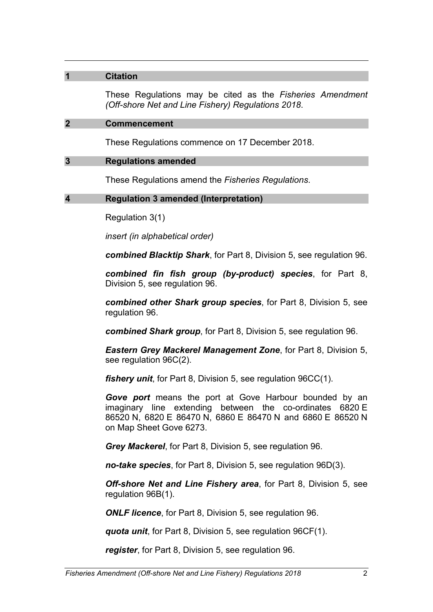### **1 Citation**

These Regulations may be cited as the *Fisheries Amendment (Off-shore Net and Line Fishery) Regulations 2018*.

#### **2 Commencement**

These Regulations commence on 17 December 2018.

### **3 Regulations amended**

These Regulations amend the *Fisheries Regulations*.

### **4 Regulation 3 amended (Interpretation)**

Regulation 3(1)

*insert (in alphabetical order)*

*combined Blacktip Shark*, for Part 8, Division 5, see regulation 96.

*combined fin fish group (by-product) species*, for Part 8, Division 5, see regulation 96.

*combined other Shark group species*, for Part 8, Division 5, see regulation 96.

*combined Shark group*, for Part 8, Division 5, see regulation 96.

*Eastern Grey Mackerel Management Zone*, for Part 8, Division 5, see regulation 96C(2).

*fishery unit*, for Part 8, Division 5, see regulation 96CC(1).

*Gove port* means the port at Gove Harbour bounded by an imaginary line extending between the co-ordinates 6820 E 86520 N, 6820 E 86470 N, 6860 E 86470 N and 6860 E 86520 N on Map Sheet Gove 6273.

*Grey Mackerel*, for Part 8, Division 5, see regulation 96.

*no-take species*, for Part 8, Division 5, see regulation 96D(3).

*Off-shore Net and Line Fishery area*, for Part 8, Division 5, see regulation 96B(1).

*ONLF licence*, for Part 8, Division 5, see regulation 96.

*quota unit*, for Part 8, Division 5, see regulation 96CF(1).

*register*, for Part 8, Division 5, see regulation 96.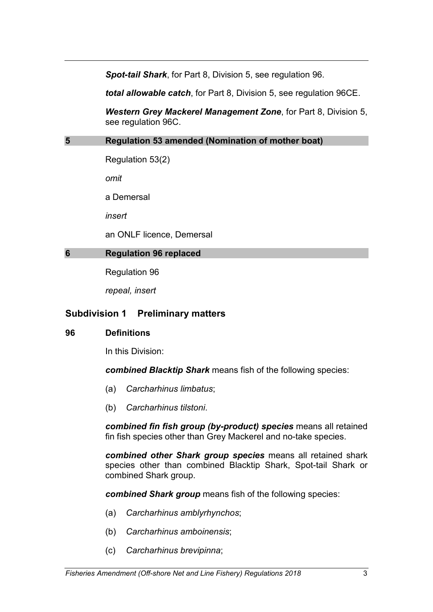*Spot-tail Shark*, for Part 8, Division 5, see regulation 96.

*total allowable catch*, for Part 8, Division 5, see regulation 96CE.

*Western Grey Mackerel Management Zone*, for Part 8, Division 5, see regulation 96C.

### **5 Regulation 53 amended (Nomination of mother boat)**

Regulation 53(2)

*omit*

a Demersal

*insert*

an ONLF licence, Demersal

## **6 Regulation 96 replaced**

Regulation 96

*repeal, insert*

# **Subdivision 1 Preliminary matters**

### **96 Definitions**

In this Division:

*combined Blacktip Shark* means fish of the following species:

- (a) *Carcharhinus limbatus*;
- (b) *Carcharhinus tilstoni*.

*combined fin fish group (by-product) species* means all retained fin fish species other than Grey Mackerel and no-take species.

*combined other Shark group species* means all retained shark species other than combined Blacktip Shark, Spot-tail Shark or combined Shark group.

*combined Shark group* means fish of the following species:

- (a) *Carcharhinus amblyrhynchos*;
- (b) *Carcharhinus amboinensis*;
- (c) *Carcharhinus brevipinna*;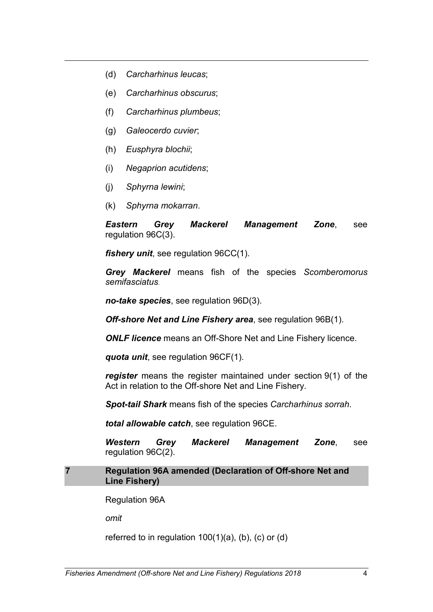- (d) *Carcharhinus leucas*;
- (e) *Carcharhinus obscurus*;
- (f) *Carcharhinus plumbeus*;
- (g) *Galeocerdo cuvier*;
- (h) *Eusphyra blochii*;
- (i) *Negaprion acutidens*;
- (j) *Sphyrna lewini*;
- (k) *Sphyrna mokarran*.

*Eastern Grey Mackerel Management Zone*, see regulation 96C(3).

*fishery unit*, see regulation 96CC(1).

*Grey Mackerel* means fish of the species *Scomberomorus semifasciatus.*

*no-take species*, see regulation 96D(3).

*Off-shore Net and Line Fishery area*, see regulation 96B(1).

*ONLF licence* means an Off-Shore Net and Line Fishery licence.

*quota unit*, see regulation 96CF(1).

*register* means the register maintained under section 9(1) of the Act in relation to the Off-shore Net and Line Fishery.

*Spot-tail Shark* means fish of the species *Carcharhinus sorrah*.

*total allowable catch*, see regulation 96CE.

*Western Grey Mackerel Management Zone*, see regulation 96C(2).

#### **7 Regulation 96A amended (Declaration of Off-shore Net and Line Fishery)**

Regulation 96A

*omit*

referred to in regulation  $100(1)(a)$ , (b), (c) or (d)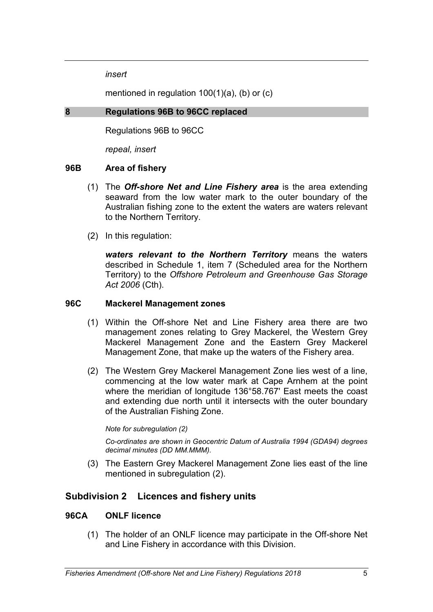*insert*

mentioned in regulation 100(1)(a), (b) or (c)

### **8 Regulations 96B to 96CC replaced**

Regulations 96B to 96CC

*repeal, insert*

### **96B Area of fishery**

- (1) The *Off-shore Net and Line Fishery area* is the area extending seaward from the low water mark to the outer boundary of the Australian fishing zone to the extent the waters are waters relevant to the Northern Territory.
- (2) In this regulation:

*waters relevant to the Northern Territory* means the waters described in Schedule 1, item 7 (Scheduled area for the Northern Territory) to the *Offshore Petroleum and Greenhouse Gas Storage Act 2006* (Cth).

### **96C Mackerel Management zones**

- (1) Within the Off-shore Net and Line Fishery area there are two management zones relating to Grey Mackerel, the Western Grey Mackerel Management Zone and the Eastern Grey Mackerel Management Zone, that make up the waters of the Fishery area.
- (2) The Western Grey Mackerel Management Zone lies west of a line, commencing at the low water mark at Cape Arnhem at the point where the meridian of longitude 136°58.767' East meets the coast and extending due north until it intersects with the outer boundary of the Australian Fishing Zone.

#### *Note for subregulation (2)*

*Co-ordinates are shown in Geocentric Datum of Australia 1994 (GDA94) degrees decimal minutes (DD MM.MMM).*

(3) The Eastern Grey Mackerel Management Zone lies east of the line mentioned in subregulation (2).

# **Subdivision 2 Licences and fishery units**

### **96CA ONLF licence**

(1) The holder of an ONLF licence may participate in the Off-shore Net and Line Fishery in accordance with this Division.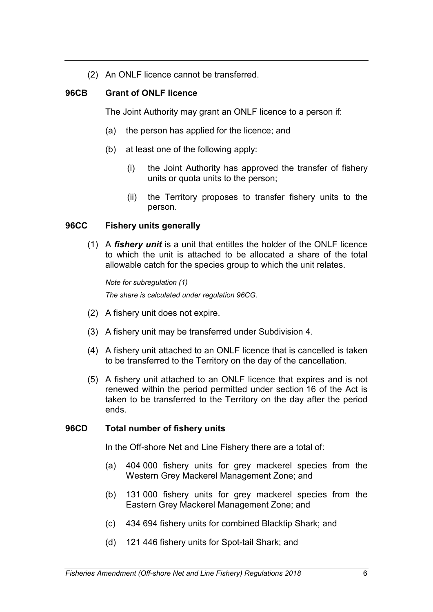(2) An ONLF licence cannot be transferred.

# **96CB Grant of ONLF licence**

The Joint Authority may grant an ONLF licence to a person if:

- (a) the person has applied for the licence; and
- (b) at least one of the following apply:
	- (i) the Joint Authority has approved the transfer of fishery units or quota units to the person;
	- (ii) the Territory proposes to transfer fishery units to the person.

# **96CC Fishery units generally**

(1) A *fishery unit* is a unit that entitles the holder of the ONLF licence to which the unit is attached to be allocated a share of the total allowable catch for the species group to which the unit relates.

*Note for subregulation (1) The share is calculated under regulation 96CG.*

- (2) A fishery unit does not expire.
- (3) A fishery unit may be transferred under Subdivision 4.
- (4) A fishery unit attached to an ONLF licence that is cancelled is taken to be transferred to the Territory on the day of the cancellation.
- (5) A fishery unit attached to an ONLF licence that expires and is not renewed within the period permitted under section 16 of the Act is taken to be transferred to the Territory on the day after the period ends.

# **96CD Total number of fishery units**

In the Off-shore Net and Line Fishery there are a total of:

- (a) 404 000 fishery units for grey mackerel species from the Western Grey Mackerel Management Zone; and
- (b) 131 000 fishery units for grey mackerel species from the Eastern Grey Mackerel Management Zone; and
- (c) 434 694 fishery units for combined Blacktip Shark; and
- (d) 121 446 fishery units for Spot-tail Shark; and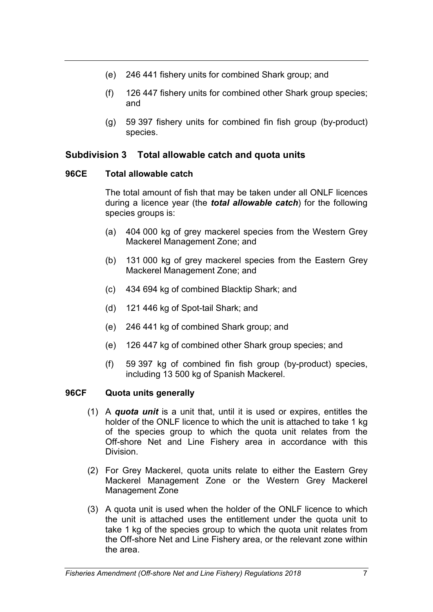- (e) 246 441 fishery units for combined Shark group; and
- (f) 126 447 fishery units for combined other Shark group species; and
- (g) 59 397 fishery units for combined fin fish group (by-product) species.

# **Subdivision 3 Total allowable catch and quota units**

## **96CE Total allowable catch**

The total amount of fish that may be taken under all ONLF licences during a licence year (the *total allowable catch*) for the following species groups is:

- (a) 404 000 kg of grey mackerel species from the Western Grey Mackerel Management Zone; and
- (b) 131 000 kg of grey mackerel species from the Eastern Grey Mackerel Management Zone; and
- (c) 434 694 kg of combined Blacktip Shark; and
- (d) 121 446 kg of Spot-tail Shark; and
- (e) 246 441 kg of combined Shark group; and
- (e) 126 447 kg of combined other Shark group species; and
- (f) 59 397 kg of combined fin fish group (by-product) species, including 13 500 kg of Spanish Mackerel.

# **96CF Quota units generally**

- (1) A *quota unit* is a unit that, until it is used or expires, entitles the holder of the ONLF licence to which the unit is attached to take 1 kg of the species group to which the quota unit relates from the Off-shore Net and Line Fishery area in accordance with this Division.
- (2) For Grey Mackerel, quota units relate to either the Eastern Grey Mackerel Management Zone or the Western Grey Mackerel Management Zone
- (3) A quota unit is used when the holder of the ONLF licence to which the unit is attached uses the entitlement under the quota unit to take 1 kg of the species group to which the quota unit relates from the Off-shore Net and Line Fishery area, or the relevant zone within the area.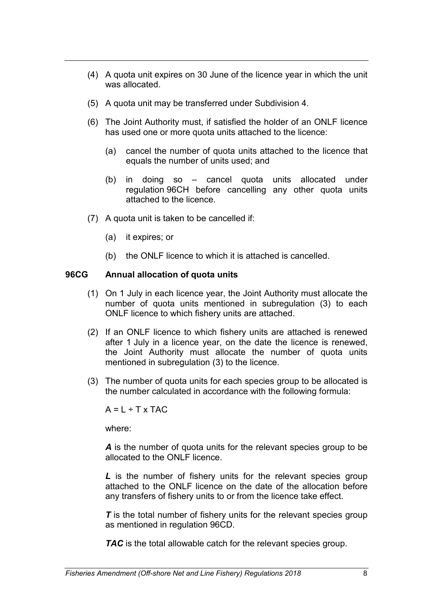- (4) A quota unit expires on 30 June of the licence year in which the unit was allocated.
- (5) A quota unit may be transferred under Subdivision 4.
- (6) The Joint Authority must, if satisfied the holder of an ONLF licence has used one or more quota units attached to the licence:
	- (a) cancel the number of quota units attached to the licence that equals the number of units used; and
	- (b) in doing so cancel quota units allocated under regulation 96CH before cancelling any other quota units attached to the licence.
- (7) A quota unit is taken to be cancelled if:
	- (a) it expires; or
	- (b) the ONLF licence to which it is attached is cancelled.

## **96CG Annual allocation of quota units**

- (1) On 1 July in each licence year, the Joint Authority must allocate the number of quota units mentioned in subregulation (3) to each ONLF licence to which fishery units are attached.
- (2) If an ONLF licence to which fishery units are attached is renewed after 1 July in a licence year, on the date the licence is renewed, the Joint Authority must allocate the number of quota units mentioned in subregulation (3) to the licence.
- (3) The number of quota units for each species group to be allocated is the number calculated in accordance with the following formula:

 $A = L \div T \times TAC$ 

where:

*A* is the number of quota units for the relevant species group to be allocated to the ONLF licence.

*L* is the number of fishery units for the relevant species group attached to the ONLF licence on the date of the allocation before any transfers of fishery units to or from the licence take effect.

**T** is the total number of fishery units for the relevant species group as mentioned in regulation 96CD.

*TAC* is the total allowable catch for the relevant species group.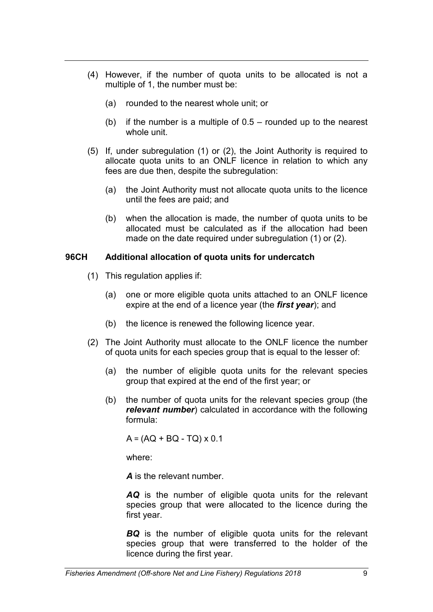- (4) However, if the number of quota units to be allocated is not a multiple of 1, the number must be:
	- (a) rounded to the nearest whole unit; or
	- (b) if the number is a multiple of  $0.5 -$  rounded up to the nearest whole unit.
- (5) If, under subregulation (1) or (2), the Joint Authority is required to allocate quota units to an ONLF licence in relation to which any fees are due then, despite the subregulation:
	- (a) the Joint Authority must not allocate quota units to the licence until the fees are paid; and
	- (b) when the allocation is made, the number of quota units to be allocated must be calculated as if the allocation had been made on the date required under subregulation (1) or (2).

### **96CH Additional allocation of quota units for undercatch**

- (1) This regulation applies if:
	- (a) one or more eligible quota units attached to an ONLF licence expire at the end of a licence year (the *first year*); and
	- (b) the licence is renewed the following licence year.
- (2) The Joint Authority must allocate to the ONLF licence the number of quota units for each species group that is equal to the lesser of:
	- (a) the number of eligible quota units for the relevant species group that expired at the end of the first year; or
	- (b) the number of quota units for the relevant species group (the *relevant number*) calculated in accordance with the following formula:

 $A = (AQ + BQ - TQ) \times 0.1$ 

where:

*A* is the relevant number.

*AQ* is the number of eligible quota units for the relevant species group that were allocated to the licence during the first year.

*BQ* is the number of eligible quota units for the relevant species group that were transferred to the holder of the licence during the first year.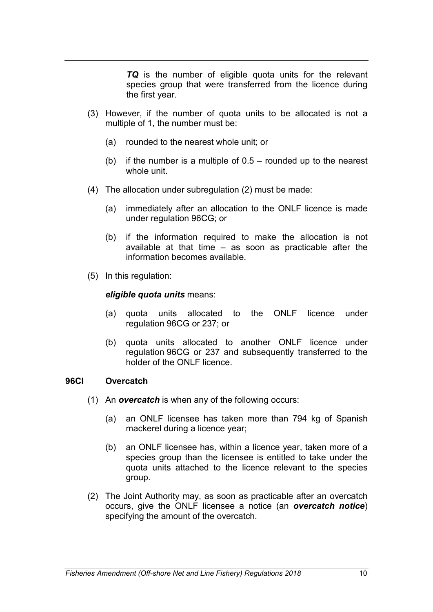*TQ* is the number of eligible quota units for the relevant species group that were transferred from the licence during the first year.

- (3) However, if the number of quota units to be allocated is not a multiple of 1, the number must be:
	- (a) rounded to the nearest whole unit; or
	- (b) if the number is a multiple of 0.5 rounded up to the nearest whole unit.
- (4) The allocation under subregulation (2) must be made:
	- (a) immediately after an allocation to the ONLF licence is made under regulation 96CG; or
	- (b) if the information required to make the allocation is not available at that time – as soon as practicable after the information becomes available.
- (5) In this regulation:

#### *eligible quota units* means:

- (a) quota units allocated to the ONLF licence under regulation 96CG or 237; or
- (b) quota units allocated to another ONLF licence under regulation 96CG or 237 and subsequently transferred to the holder of the ONLF licence.

### **96CI Overcatch**

- (1) An *overcatch* is when any of the following occurs:
	- (a) an ONLF licensee has taken more than 794 kg of Spanish mackerel during a licence year;
	- (b) an ONLF licensee has, within a licence year, taken more of a species group than the licensee is entitled to take under the quota units attached to the licence relevant to the species group.
- (2) The Joint Authority may, as soon as practicable after an overcatch occurs, give the ONLF licensee a notice (an *overcatch notice*) specifying the amount of the overcatch.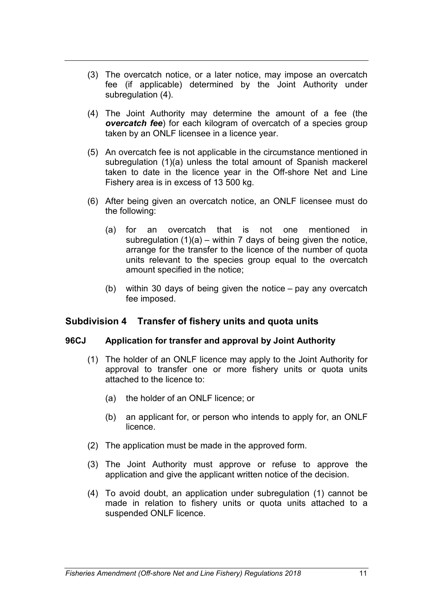- (3) The overcatch notice, or a later notice, may impose an overcatch fee (if applicable) determined by the Joint Authority under subregulation (4).
- (4) The Joint Authority may determine the amount of a fee (the *overcatch fee*) for each kilogram of overcatch of a species group taken by an ONLF licensee in a licence year.
- (5) An overcatch fee is not applicable in the circumstance mentioned in subregulation (1)(a) unless the total amount of Spanish mackerel taken to date in the licence year in the Off-shore Net and Line Fishery area is in excess of 13 500 kg.
- (6) After being given an overcatch notice, an ONLF licensee must do the following:
	- (a) for an overcatch that is not one mentioned in subregulation  $(1)(a)$  – within 7 days of being given the notice, arrange for the transfer to the licence of the number of quota units relevant to the species group equal to the overcatch amount specified in the notice;
	- (b) within 30 days of being given the notice pay any overcatch fee imposed.

# **Subdivision 4 Transfer of fishery units and quota units**

### **96CJ Application for transfer and approval by Joint Authority**

- (1) The holder of an ONLF licence may apply to the Joint Authority for approval to transfer one or more fishery units or quota units attached to the licence to:
	- (a) the holder of an ONLF licence; or
	- (b) an applicant for, or person who intends to apply for, an ONLF licence.
- (2) The application must be made in the approved form.
- (3) The Joint Authority must approve or refuse to approve the application and give the applicant written notice of the decision.
- (4) To avoid doubt, an application under subregulation (1) cannot be made in relation to fishery units or quota units attached to a suspended ONLF licence.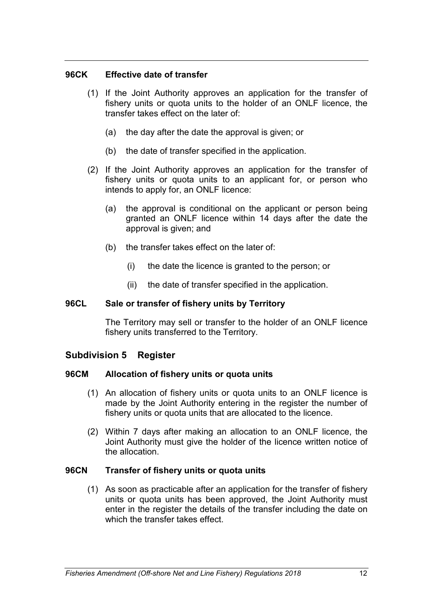### **96CK Effective date of transfer**

- (1) If the Joint Authority approves an application for the transfer of fishery units or quota units to the holder of an ONLF licence, the transfer takes effect on the later of:
	- (a) the day after the date the approval is given; or
	- (b) the date of transfer specified in the application.
- (2) If the Joint Authority approves an application for the transfer of fishery units or quota units to an applicant for, or person who intends to apply for, an ONLF licence:
	- (a) the approval is conditional on the applicant or person being granted an ONLF licence within 14 days after the date the approval is given; and
	- (b) the transfer takes effect on the later of:
		- (i) the date the licence is granted to the person; or
		- (ii) the date of transfer specified in the application.

### **96CL Sale or transfer of fishery units by Territory**

The Territory may sell or transfer to the holder of an ONLF licence fishery units transferred to the Territory.

# **Subdivision 5 Register**

### **96CM Allocation of fishery units or quota units**

- (1) An allocation of fishery units or quota units to an ONLF licence is made by the Joint Authority entering in the register the number of fishery units or quota units that are allocated to the licence.
- (2) Within 7 days after making an allocation to an ONLF licence, the Joint Authority must give the holder of the licence written notice of the allocation.

# **96CN Transfer of fishery units or quota units**

(1) As soon as practicable after an application for the transfer of fishery units or quota units has been approved, the Joint Authority must enter in the register the details of the transfer including the date on which the transfer takes effect.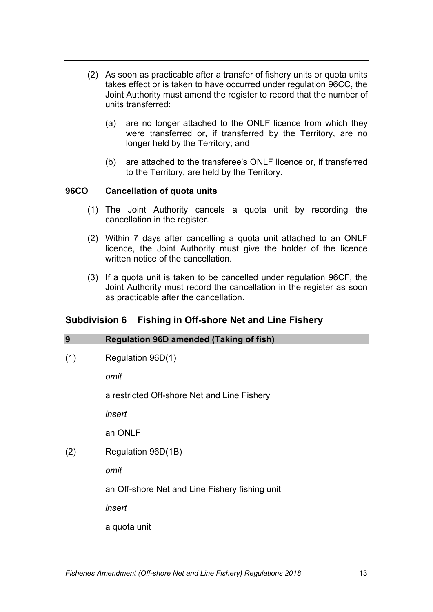- (2) As soon as practicable after a transfer of fishery units or quota units takes effect or is taken to have occurred under regulation 96CC, the Joint Authority must amend the register to record that the number of units transferred:
	- (a) are no longer attached to the ONLF licence from which they were transferred or, if transferred by the Territory, are no longer held by the Territory; and
	- (b) are attached to the transferee's ONLF licence or, if transferred to the Territory, are held by the Territory.

## **96CO Cancellation of quota units**

- (1) The Joint Authority cancels a quota unit by recording the cancellation in the register.
- (2) Within 7 days after cancelling a quota unit attached to an ONLF licence, the Joint Authority must give the holder of the licence written notice of the cancellation.
- (3) If a quota unit is taken to be cancelled under regulation 96CF, the Joint Authority must record the cancellation in the register as soon as practicable after the cancellation.

# **Subdivision 6 Fishing in Off-shore Net and Line Fishery**

| 9   | <b>Regulation 96D amended (Taking of fish)</b> |
|-----|------------------------------------------------|
| (1) | Regulation 96D(1)                              |
|     | omit                                           |
|     | a restricted Off-shore Net and Line Fishery    |
|     | insert                                         |
|     | an ONLF                                        |
| (2) | Regulation 96D(1B)                             |
|     | omit                                           |
|     | an Off-shore Net and Line Fishery fishing unit |
|     | insert                                         |
|     | a quota unit                                   |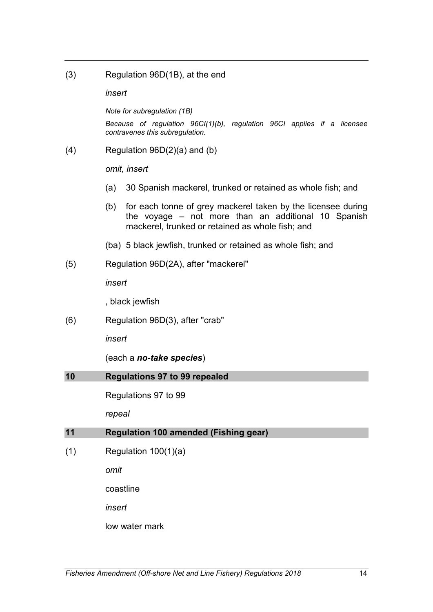(3) Regulation 96D(1B), at the end

*insert*

*Note for subregulation (1B)*

*Because of regulation 96CI(1)(b), regulation 96CI applies if a licensee contravenes this subregulation.*

(4) Regulation 96D(2)(a) and (b)

*omit, insert*

- (a) 30 Spanish mackerel, trunked or retained as whole fish; and
- (b) for each tonne of grey mackerel taken by the licensee during the voyage – not more than an additional 10 Spanish mackerel, trunked or retained as whole fish; and
- (ba) 5 black jewfish, trunked or retained as whole fish; and
- (5) Regulation 96D(2A), after "mackerel"

*insert*

, black jewfish

(6) Regulation 96D(3), after "crab"

*insert*

(each a *no-take species*)

### **10 Regulations 97 to 99 repealed**

Regulations 97 to 99

*repeal*

# **11 Regulation 100 amended (Fishing gear)**

 $(1)$  Regulation 100 $(1)(a)$ 

*omit*

coastline

*insert*

low water mark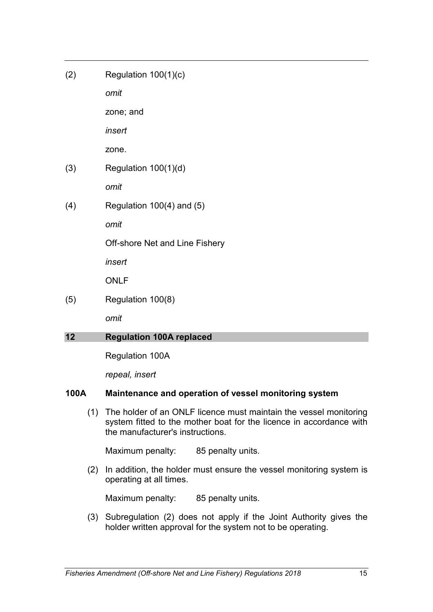$(2)$  Regulation 100 $(1)(c)$ 

*omit*

zone; and

*insert* 

zone.

(3) Regulation 100(1)(d)

*omit*

(4) Regulation 100(4) and (5)

*omit*

Off-shore Net and Line Fishery

*insert*

ONLF

(5) Regulation 100(8)

*omit*

# **12 Regulation 100A replaced**

Regulation 100A

*repeal, insert*

# **100A Maintenance and operation of vessel monitoring system**

(1) The holder of an ONLF licence must maintain the vessel monitoring system fitted to the mother boat for the licence in accordance with the manufacturer's instructions.

Maximum penalty: 85 penalty units.

(2) In addition, the holder must ensure the vessel monitoring system is operating at all times.

Maximum penalty: 85 penalty units.

(3) Subregulation (2) does not apply if the Joint Authority gives the holder written approval for the system not to be operating.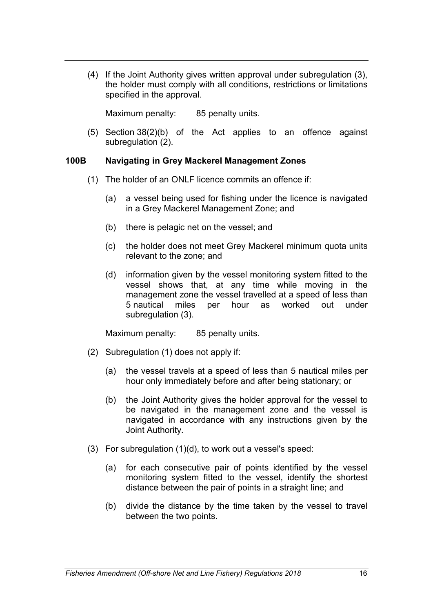(4) If the Joint Authority gives written approval under subregulation (3), the holder must comply with all conditions, restrictions or limitations specified in the approval.

Maximum penalty: 85 penalty units.

(5) Section 38(2)(b) of the Act applies to an offence against subregulation (2).

## **100B Navigating in Grey Mackerel Management Zones**

- (1) The holder of an ONLF licence commits an offence if:
	- (a) a vessel being used for fishing under the licence is navigated in a Grey Mackerel Management Zone; and
	- (b) there is pelagic net on the vessel; and
	- (c) the holder does not meet Grey Mackerel minimum quota units relevant to the zone; and
	- (d) information given by the vessel monitoring system fitted to the vessel shows that, at any time while moving in the management zone the vessel travelled at a speed of less than 5 nautical miles per hour as worked out under subregulation (3).

Maximum penalty: 85 penalty units.

- (2) Subregulation (1) does not apply if:
	- (a) the vessel travels at a speed of less than 5 nautical miles per hour only immediately before and after being stationary; or
	- (b) the Joint Authority gives the holder approval for the vessel to be navigated in the management zone and the vessel is navigated in accordance with any instructions given by the Joint Authority.
- (3) For subregulation (1)(d), to work out a vessel's speed:
	- (a) for each consecutive pair of points identified by the vessel monitoring system fitted to the vessel, identify the shortest distance between the pair of points in a straight line; and
	- (b) divide the distance by the time taken by the vessel to travel between the two points.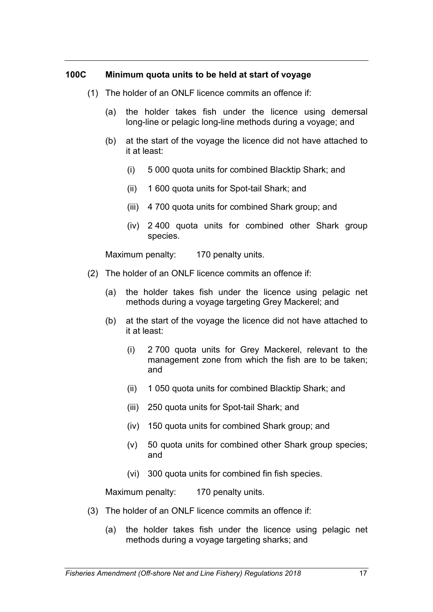### **100C Minimum quota units to be held at start of voyage**

- (1) The holder of an ONLF licence commits an offence if:
	- (a) the holder takes fish under the licence using demersal long-line or pelagic long-line methods during a voyage; and
	- (b) at the start of the voyage the licence did not have attached to it at least:
		- (i) 5 000 quota units for combined Blacktip Shark; and
		- (ii) 1 600 quota units for Spot-tail Shark; and
		- (iii) 4 700 quota units for combined Shark group; and
		- (iv) 2 400 quota units for combined other Shark group species.

Maximum penalty: 170 penalty units.

- (2) The holder of an ONLF licence commits an offence if:
	- (a) the holder takes fish under the licence using pelagic net methods during a voyage targeting Grey Mackerel; and
	- (b) at the start of the voyage the licence did not have attached to it at least:
		- (i) 2 700 quota units for Grey Mackerel, relevant to the management zone from which the fish are to be taken; and
		- (ii) 1 050 quota units for combined Blacktip Shark; and
		- (iii) 250 quota units for Spot-tail Shark; and
		- (iv) 150 quota units for combined Shark group; and
		- (v) 50 quota units for combined other Shark group species; and
		- (vi) 300 quota units for combined fin fish species.

Maximum penalty: 170 penalty units.

- (3) The holder of an ONLF licence commits an offence if:
	- (a) the holder takes fish under the licence using pelagic net methods during a voyage targeting sharks; and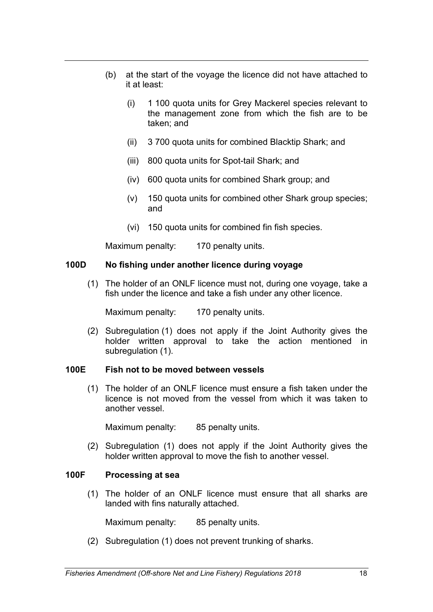- (b) at the start of the voyage the licence did not have attached to it at least:
	- (i) 1 100 quota units for Grey Mackerel species relevant to the management zone from which the fish are to be taken; and
	- (ii) 3 700 quota units for combined Blacktip Shark; and
	- (iii) 800 quota units for Spot-tail Shark; and
	- (iv) 600 quota units for combined Shark group; and
	- (v) 150 quota units for combined other Shark group species; and
	- (vi) 150 quota units for combined fin fish species.

Maximum penalty: 170 penalty units.

## **100D No fishing under another licence during voyage**

(1) The holder of an ONLF licence must not, during one voyage, take a fish under the licence and take a fish under any other licence.

Maximum penalty: 170 penalty units.

(2) Subregulation (1) does not apply if the Joint Authority gives the holder written approval to take the action mentioned in subregulation (1).

### **100E Fish not to be moved between vessels**

(1) The holder of an ONLF licence must ensure a fish taken under the licence is not moved from the vessel from which it was taken to another vessel.

Maximum penalty: 85 penalty units.

(2) Subregulation (1) does not apply if the Joint Authority gives the holder written approval to move the fish to another vessel.

# **100F Processing at sea**

(1) The holder of an ONLF licence must ensure that all sharks are landed with fins naturally attached.

Maximum penalty: 85 penalty units.

(2) Subregulation (1) does not prevent trunking of sharks.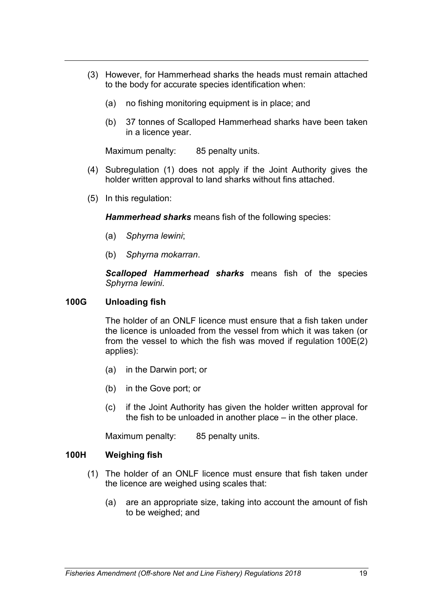- (3) However, for Hammerhead sharks the heads must remain attached to the body for accurate species identification when:
	- (a) no fishing monitoring equipment is in place; and
	- (b) 37 tonnes of Scalloped Hammerhead sharks have been taken in a licence year.

Maximum penalty: 85 penalty units.

- (4) Subregulation (1) does not apply if the Joint Authority gives the holder written approval to land sharks without fins attached.
- (5) In this regulation:

*Hammerhead sharks* means fish of the following species:

- (a) *Sphyrna lewini*;
- (b) *Sphyrna mokarran*.

*Scalloped Hammerhead sharks* means fish of the species *Sphyrna lewini*.

### **100G Unloading fish**

The holder of an ONLF licence must ensure that a fish taken under the licence is unloaded from the vessel from which it was taken (or from the vessel to which the fish was moved if regulation 100E(2) applies):

- (a) in the Darwin port; or
- (b) in the Gove port; or
- (c) if the Joint Authority has given the holder written approval for the fish to be unloaded in another place – in the other place.

Maximum penalty: 85 penalty units.

### **100H Weighing fish**

- (1) The holder of an ONLF licence must ensure that fish taken under the licence are weighed using scales that:
	- (a) are an appropriate size, taking into account the amount of fish to be weighed; and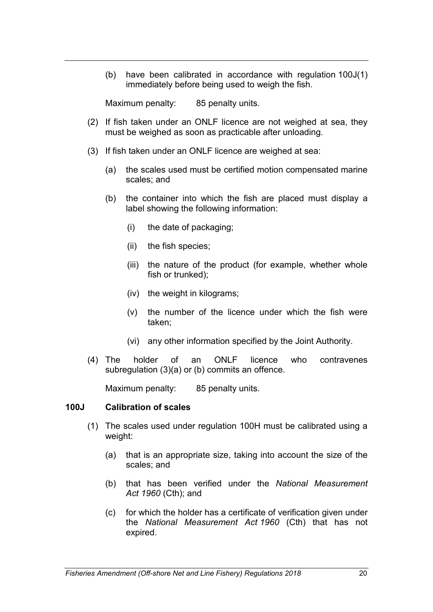(b) have been calibrated in accordance with regulation 100J(1) immediately before being used to weigh the fish.

Maximum penalty: 85 penalty units.

- (2) If fish taken under an ONLF licence are not weighed at sea, they must be weighed as soon as practicable after unloading.
- (3) If fish taken under an ONLF licence are weighed at sea:
	- (a) the scales used must be certified motion compensated marine scales; and
	- (b) the container into which the fish are placed must display a label showing the following information:
		- (i) the date of packaging;
		- (ii) the fish species;
		- (iii) the nature of the product (for example, whether whole fish or trunked);
		- (iv) the weight in kilograms;
		- (v) the number of the licence under which the fish were taken;
		- (vi) any other information specified by the Joint Authority.
- (4) The holder of an ONLF licence who contravenes subregulation (3)(a) or (b) commits an offence.

Maximum penalty: 85 penalty units.

### **100J Calibration of scales**

- (1) The scales used under regulation 100H must be calibrated using a weight:
	- (a) that is an appropriate size, taking into account the size of the scales; and
	- (b) that has been verified under the *National Measurement Act 1960* (Cth); and
	- (c) for which the holder has a certificate of verification given under the *National Measurement Act 1960* (Cth) that has not expired.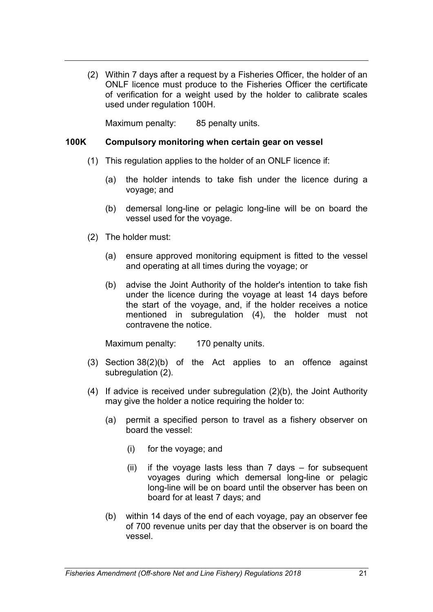(2) Within 7 days after a request by a Fisheries Officer, the holder of an ONLF licence must produce to the Fisheries Officer the certificate of verification for a weight used by the holder to calibrate scales used under regulation 100H.

Maximum penalty: 85 penalty units.

## **100K Compulsory monitoring when certain gear on vessel**

- (1) This regulation applies to the holder of an ONLF licence if:
	- (a) the holder intends to take fish under the licence during a voyage; and
	- (b) demersal long-line or pelagic long-line will be on board the vessel used for the voyage.
- (2) The holder must:
	- (a) ensure approved monitoring equipment is fitted to the vessel and operating at all times during the voyage; or
	- (b) advise the Joint Authority of the holder's intention to take fish under the licence during the voyage at least 14 days before the start of the voyage, and, if the holder receives a notice mentioned in subregulation (4), the holder must not contravene the notice.

Maximum penalty: 170 penalty units.

- (3) Section 38(2)(b) of the Act applies to an offence against subregulation (2).
- (4) If advice is received under subregulation (2)(b), the Joint Authority may give the holder a notice requiring the holder to:
	- (a) permit a specified person to travel as a fishery observer on board the vessel:
		- (i) for the voyage; and
		- (ii) if the voyage lasts less than  $7$  days  $-$  for subsequent voyages during which demersal long-line or pelagic long-line will be on board until the observer has been on board for at least 7 days; and
	- (b) within 14 days of the end of each voyage, pay an observer fee of 700 revenue units per day that the observer is on board the vessel.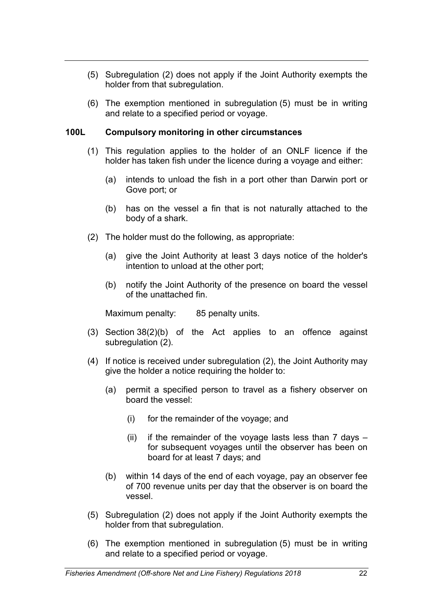- (5) Subregulation (2) does not apply if the Joint Authority exempts the holder from that subregulation.
- (6) The exemption mentioned in subregulation (5) must be in writing and relate to a specified period or voyage.

# **100L Compulsory monitoring in other circumstances**

- (1) This regulation applies to the holder of an ONLF licence if the holder has taken fish under the licence during a voyage and either:
	- (a) intends to unload the fish in a port other than Darwin port or Gove port; or
	- (b) has on the vessel a fin that is not naturally attached to the body of a shark.
- (2) The holder must do the following, as appropriate:
	- (a) give the Joint Authority at least 3 days notice of the holder's intention to unload at the other port;
	- (b) notify the Joint Authority of the presence on board the vessel of the unattached fin.

Maximum penalty: 85 penalty units.

- (3) Section 38(2)(b) of the Act applies to an offence against subregulation (2).
- (4) If notice is received under subregulation (2), the Joint Authority may give the holder a notice requiring the holder to:
	- (a) permit a specified person to travel as a fishery observer on board the vessel:
		- (i) for the remainder of the voyage; and
		- (ii) if the remainder of the voyage lasts less than  $7$  days  $$ for subsequent voyages until the observer has been on board for at least 7 days; and
	- (b) within 14 days of the end of each voyage, pay an observer fee of 700 revenue units per day that the observer is on board the vessel.
- (5) Subregulation (2) does not apply if the Joint Authority exempts the holder from that subregulation.
- (6) The exemption mentioned in subregulation (5) must be in writing and relate to a specified period or voyage.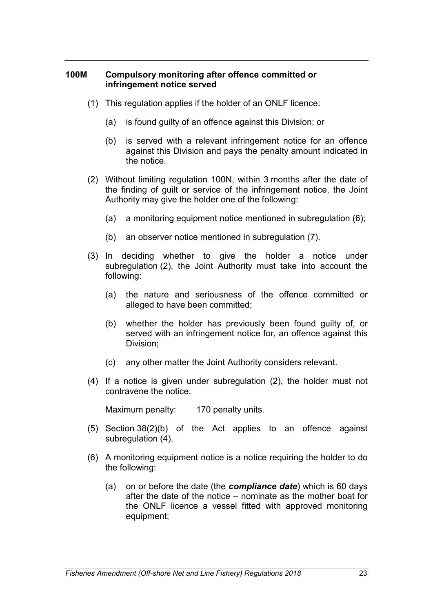### **100M Compulsory monitoring after offence committed or infringement notice served**

- (1) This regulation applies if the holder of an ONLF licence:
	- (a) is found guilty of an offence against this Division; or
	- (b) is served with a relevant infringement notice for an offence against this Division and pays the penalty amount indicated in the notice.
- (2) Without limiting regulation 100N, within 3 months after the date of the finding of guilt or service of the infringement notice, the Joint Authority may give the holder one of the following:
	- (a) a monitoring equipment notice mentioned in subregulation (6);
	- (b) an observer notice mentioned in subregulation (7).
- (3) In deciding whether to give the holder a notice under subregulation (2), the Joint Authority must take into account the following:
	- (a) the nature and seriousness of the offence committed or alleged to have been committed;
	- (b) whether the holder has previously been found guilty of, or served with an infringement notice for, an offence against this Division;
	- (c) any other matter the Joint Authority considers relevant.
- (4) If a notice is given under subregulation (2), the holder must not contravene the notice.

Maximum penalty: 170 penalty units.

- (5) Section 38(2)(b) of the Act applies to an offence against subregulation (4).
- (6) A monitoring equipment notice is a notice requiring the holder to do the following:
	- (a) on or before the date (the *compliance date*) which is 60 days after the date of the notice – nominate as the mother boat for the ONLF licence a vessel fitted with approved monitoring equipment;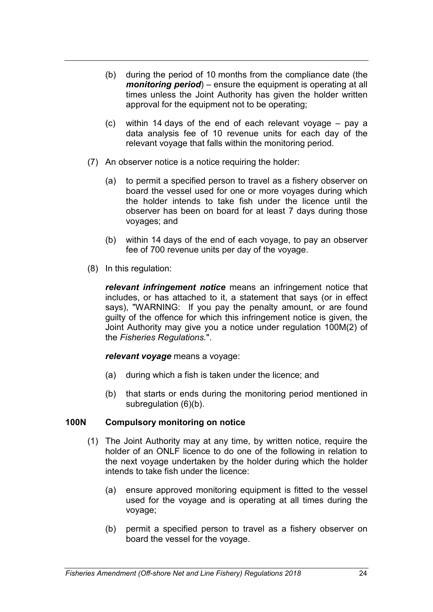- (b) during the period of 10 months from the compliance date (the *monitoring period*) – ensure the equipment is operating at all times unless the Joint Authority has given the holder written approval for the equipment not to be operating;
- (c) within 14 days of the end of each relevant voyage pay a data analysis fee of 10 revenue units for each day of the relevant voyage that falls within the monitoring period.
- (7) An observer notice is a notice requiring the holder:
	- (a) to permit a specified person to travel as a fishery observer on board the vessel used for one or more voyages during which the holder intends to take fish under the licence until the observer has been on board for at least 7 days during those voyages; and
	- (b) within 14 days of the end of each voyage, to pay an observer fee of 700 revenue units per day of the voyage.
- (8) In this regulation:

*relevant infringement notice* means an infringement notice that includes, or has attached to it, a statement that says (or in effect says), "WARNING: If you pay the penalty amount, or are found guilty of the offence for which this infringement notice is given, the Joint Authority may give you a notice under regulation 100M(2) of the *Fisheries Regulations.*".

### *relevant voyage* means a voyage:

- (a) during which a fish is taken under the licence; and
- (b) that starts or ends during the monitoring period mentioned in subregulation (6)(b).

# **100N Compulsory monitoring on notice**

- (1) The Joint Authority may at any time, by written notice, require the holder of an ONLF licence to do one of the following in relation to the next voyage undertaken by the holder during which the holder intends to take fish under the licence:
	- (a) ensure approved monitoring equipment is fitted to the vessel used for the voyage and is operating at all times during the voyage;
	- (b) permit a specified person to travel as a fishery observer on board the vessel for the voyage.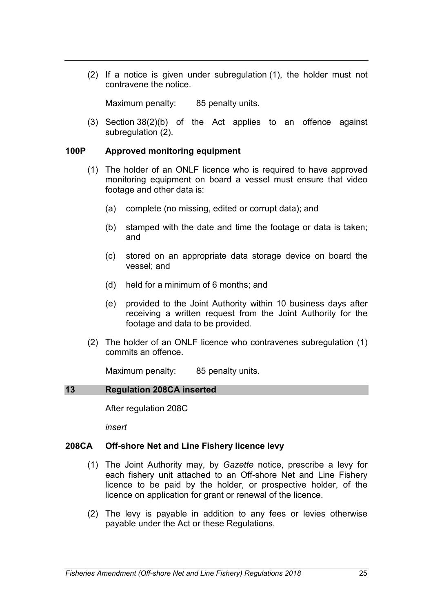(2) If a notice is given under subregulation (1), the holder must not contravene the notice.

Maximum penalty: 85 penalty units.

(3) Section 38(2)(b) of the Act applies to an offence against subregulation (2).

### **100P Approved monitoring equipment**

- (1) The holder of an ONLF licence who is required to have approved monitoring equipment on board a vessel must ensure that video footage and other data is:
	- (a) complete (no missing, edited or corrupt data); and
	- (b) stamped with the date and time the footage or data is taken; and
	- (c) stored on an appropriate data storage device on board the vessel; and
	- (d) held for a minimum of 6 months; and
	- (e) provided to the Joint Authority within 10 business days after receiving a written request from the Joint Authority for the footage and data to be provided.
- (2) The holder of an ONLF licence who contravenes subregulation (1) commits an offence.

Maximum penalty: 85 penalty units.

### **13 Regulation 208CA inserted**

After regulation 208C

*insert*

### **208CA Off-shore Net and Line Fishery licence levy**

- (1) The Joint Authority may, by *Gazette* notice, prescribe a levy for each fishery unit attached to an Off-shore Net and Line Fishery licence to be paid by the holder, or prospective holder, of the licence on application for grant or renewal of the licence.
- (2) The levy is payable in addition to any fees or levies otherwise payable under the Act or these Regulations.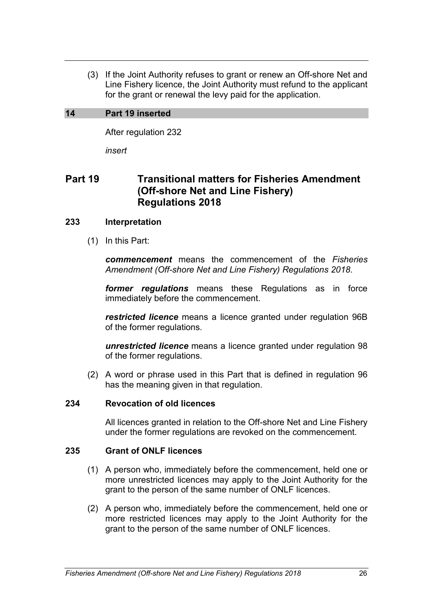(3) If the Joint Authority refuses to grant or renew an Off-shore Net and Line Fishery licence, the Joint Authority must refund to the applicant for the grant or renewal the levy paid for the application.

## **14 Part 19 inserted**

After regulation 232

*insert*

# **Part 19 Transitional matters for Fisheries Amendment (Off-shore Net and Line Fishery) Regulations 2018**

## **233 Interpretation**

(1) In this Part:

*commencement* means the commencement of the *Fisheries Amendment (Off-shore Net and Line Fishery) Regulations 2018*.

*former regulations* means these Regulations as in force immediately before the commencement.

*restricted licence* means a licence granted under regulation 96B of the former regulations.

*unrestricted licence* means a licence granted under regulation 98 of the former regulations.

(2) A word or phrase used in this Part that is defined in regulation 96 has the meaning given in that regulation.

### **234 Revocation of old licences**

All licences granted in relation to the Off-shore Net and Line Fishery under the former regulations are revoked on the commencement.

### **235 Grant of ONLF licences**

- (1) A person who, immediately before the commencement, held one or more unrestricted licences may apply to the Joint Authority for the grant to the person of the same number of ONLF licences.
- (2) A person who, immediately before the commencement, held one or more restricted licences may apply to the Joint Authority for the grant to the person of the same number of ONLF licences.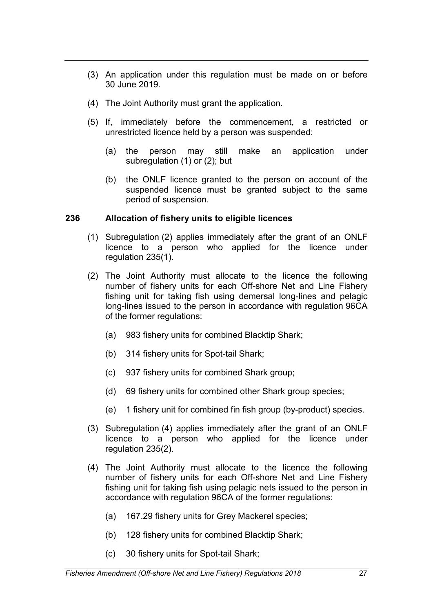- (3) An application under this regulation must be made on or before 30 June 2019.
- (4) The Joint Authority must grant the application.
- (5) If, immediately before the commencement, a restricted or unrestricted licence held by a person was suspended:
	- (a) the person may still make an application under subregulation (1) or (2); but
	- (b) the ONLF licence granted to the person on account of the suspended licence must be granted subject to the same period of suspension.

## **236 Allocation of fishery units to eligible licences**

- (1) Subregulation (2) applies immediately after the grant of an ONLF licence to a person who applied for the licence under regulation 235(1).
- (2) The Joint Authority must allocate to the licence the following number of fishery units for each Off-shore Net and Line Fishery fishing unit for taking fish using demersal long-lines and pelagic long-lines issued to the person in accordance with regulation 96CA of the former regulations:
	- (a) 983 fishery units for combined Blacktip Shark;
	- (b) 314 fishery units for Spot-tail Shark;
	- (c) 937 fishery units for combined Shark group;
	- (d) 69 fishery units for combined other Shark group species;
	- (e) 1 fishery unit for combined fin fish group (by-product) species.
- (3) Subregulation (4) applies immediately after the grant of an ONLF licence to a person who applied for the licence under regulation 235(2).
- (4) The Joint Authority must allocate to the licence the following number of fishery units for each Off-shore Net and Line Fishery fishing unit for taking fish using pelagic nets issued to the person in accordance with regulation 96CA of the former regulations:
	- (a) 167.29 fishery units for Grey Mackerel species;
	- (b) 128 fishery units for combined Blacktip Shark;
	- (c) 30 fishery units for Spot-tail Shark;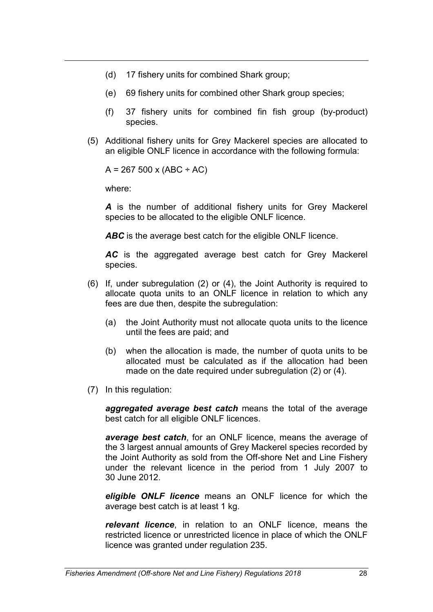- (d) 17 fishery units for combined Shark group;
- (e) 69 fishery units for combined other Shark group species;
- (f) 37 fishery units for combined fin fish group (by-product) species.
- (5) Additional fishery units for Grey Mackerel species are allocated to an eligible ONLF licence in accordance with the following formula:

 $A = 267500 \times (ABC \div AC)$ 

where:

*A* is the number of additional fishery units for Grey Mackerel species to be allocated to the eligible ONLF licence.

ABC is the average best catch for the eligible ONLF licence.

*AC* is the aggregated average best catch for Grey Mackerel species.

- (6) If, under subregulation (2) or (4), the Joint Authority is required to allocate quota units to an ONLF licence in relation to which any fees are due then, despite the subregulation:
	- (a) the Joint Authority must not allocate quota units to the licence until the fees are paid; and
	- (b) when the allocation is made, the number of quota units to be allocated must be calculated as if the allocation had been made on the date required under subregulation (2) or (4).
- (7) In this regulation:

*aggregated average best catch* means the total of the average best catch for all eligible ONLF licences.

*average best catch*, for an ONLF licence, means the average of the 3 largest annual amounts of Grey Mackerel species recorded by the Joint Authority as sold from the Off-shore Net and Line Fishery under the relevant licence in the period from 1 July 2007 to 30 June 2012.

*eligible ONLF licence* means an ONLF licence for which the average best catch is at least 1 kg.

*relevant licence*, in relation to an ONLF licence, means the restricted licence or unrestricted licence in place of which the ONLF licence was granted under regulation 235.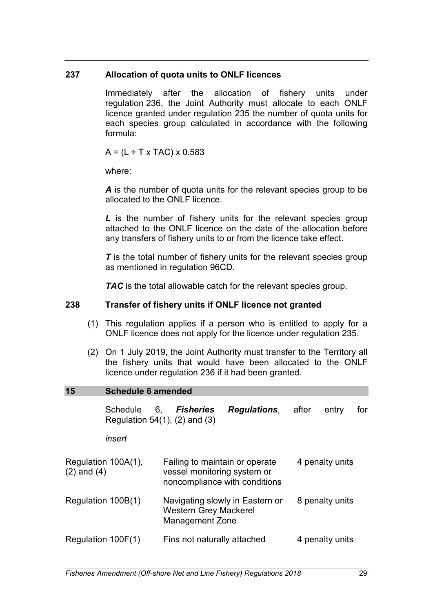# **237 Allocation of quota units to ONLF licences**

Immediately after the allocation of fishery units under regulation 236, the Joint Authority must allocate to each ONLF licence granted under regulation 235 the number of quota units for each species group calculated in accordance with the following formula:

 $A = (L \div T \times TAC) \times 0.583$ 

where:

*A* is the number of quota units for the relevant species group to be allocated to the ONLF licence.

*L* is the number of fishery units for the relevant species group attached to the ONLF licence on the date of the allocation before any transfers of fishery units to or from the licence take effect.

**T** is the total number of fishery units for the relevant species group as mentioned in regulation 96CD.

**TAC** is the total allowable catch for the relevant species group.

# **238 Transfer of fishery units if ONLF licence not granted**

- (1) This regulation applies if a person who is entitled to apply for a ONLF licence does not apply for the licence under regulation 235.
- (2) On 1 July 2019, the Joint Authority must transfer to the Territory all the fishery units that would have been allocated to the ONLF licence under regulation 236 if it had been granted.

# **15 Schedule 6 amended**

Schedule 6, *Fisheries Regulations*, after entry for Regulation 54(1), (2) and (3)

*insert*

| Regulation 100A(1),<br>$(2)$ and $(4)$ | Failing to maintain or operate<br>vessel monitoring system or<br>noncompliance with conditions | 4 penalty units |
|----------------------------------------|------------------------------------------------------------------------------------------------|-----------------|
| Regulation 100B(1)                     | Navigating slowly in Eastern or<br><b>Western Grey Mackerel</b><br><b>Management Zone</b>      | 8 penalty units |
| Regulation 100F(1)                     | Fins not naturally attached                                                                    | 4 penalty units |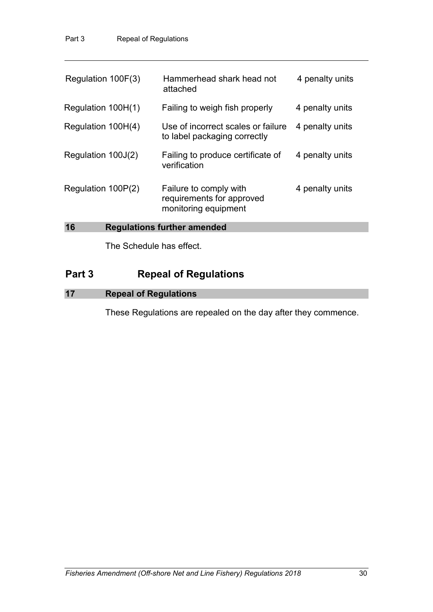| Regulation 100F(3)                       | Hammerhead shark head not<br>attached                                       | 4 penalty units |  |
|------------------------------------------|-----------------------------------------------------------------------------|-----------------|--|
| Regulation 100H(1)                       | Failing to weigh fish properly                                              | 4 penalty units |  |
| Regulation 100H(4)                       | Use of incorrect scales or failure<br>to label packaging correctly          | 4 penalty units |  |
| Regulation 100J(2)                       | Failing to produce certificate of<br>verification                           | 4 penalty units |  |
| Regulation 100P(2)                       | Failure to comply with<br>requirements for approved<br>monitoring equipment | 4 penalty units |  |
| 16<br><b>Regulations further amended</b> |                                                                             |                 |  |

The Schedule has effect.

# **Part 3 Repeal of Regulations**

# **17 Repeal of Regulations**

These Regulations are repealed on the day after they commence.